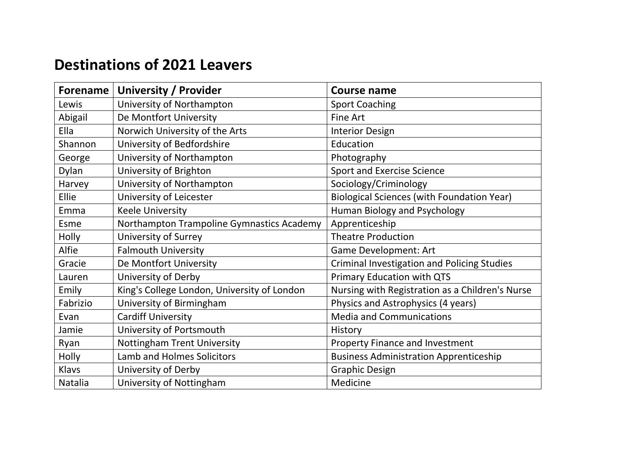## **Destinations of 2021 Leavers**

| <b>Forename</b> | <b>University / Provider</b>                | <b>Course name</b>                                |
|-----------------|---------------------------------------------|---------------------------------------------------|
| Lewis           | University of Northampton                   | <b>Sport Coaching</b>                             |
| Abigail         | De Montfort University                      | Fine Art                                          |
| Ella            | Norwich University of the Arts              | <b>Interior Design</b>                            |
| Shannon         | University of Bedfordshire                  | Education                                         |
| George          | University of Northampton                   | Photography                                       |
| Dylan           | University of Brighton                      | <b>Sport and Exercise Science</b>                 |
| Harvey          | University of Northampton                   | Sociology/Criminology                             |
| Ellie           | University of Leicester                     | <b>Biological Sciences (with Foundation Year)</b> |
| Emma            | <b>Keele University</b>                     | <b>Human Biology and Psychology</b>               |
| Esme            | Northampton Trampoline Gymnastics Academy   | Apprenticeship                                    |
| Holly           | <b>University of Surrey</b>                 | <b>Theatre Production</b>                         |
| Alfie           | <b>Falmouth University</b>                  | <b>Game Development: Art</b>                      |
| Gracie          | De Montfort University                      | Criminal Investigation and Policing Studies       |
| Lauren          | University of Derby                         | <b>Primary Education with QTS</b>                 |
| Emily           | King's College London, University of London | Nursing with Registration as a Children's Nurse   |
| Fabrizio        | University of Birmingham                    | Physics and Astrophysics (4 years)                |
| Evan            | <b>Cardiff University</b>                   | <b>Media and Communications</b>                   |
| Jamie           | University of Portsmouth                    | History                                           |
| Ryan            | <b>Nottingham Trent University</b>          | <b>Property Finance and Investment</b>            |
| Holly           | Lamb and Holmes Solicitors                  | <b>Business Administration Apprenticeship</b>     |
| Klavs           | University of Derby                         | <b>Graphic Design</b>                             |
| Natalia         | University of Nottingham                    | Medicine                                          |